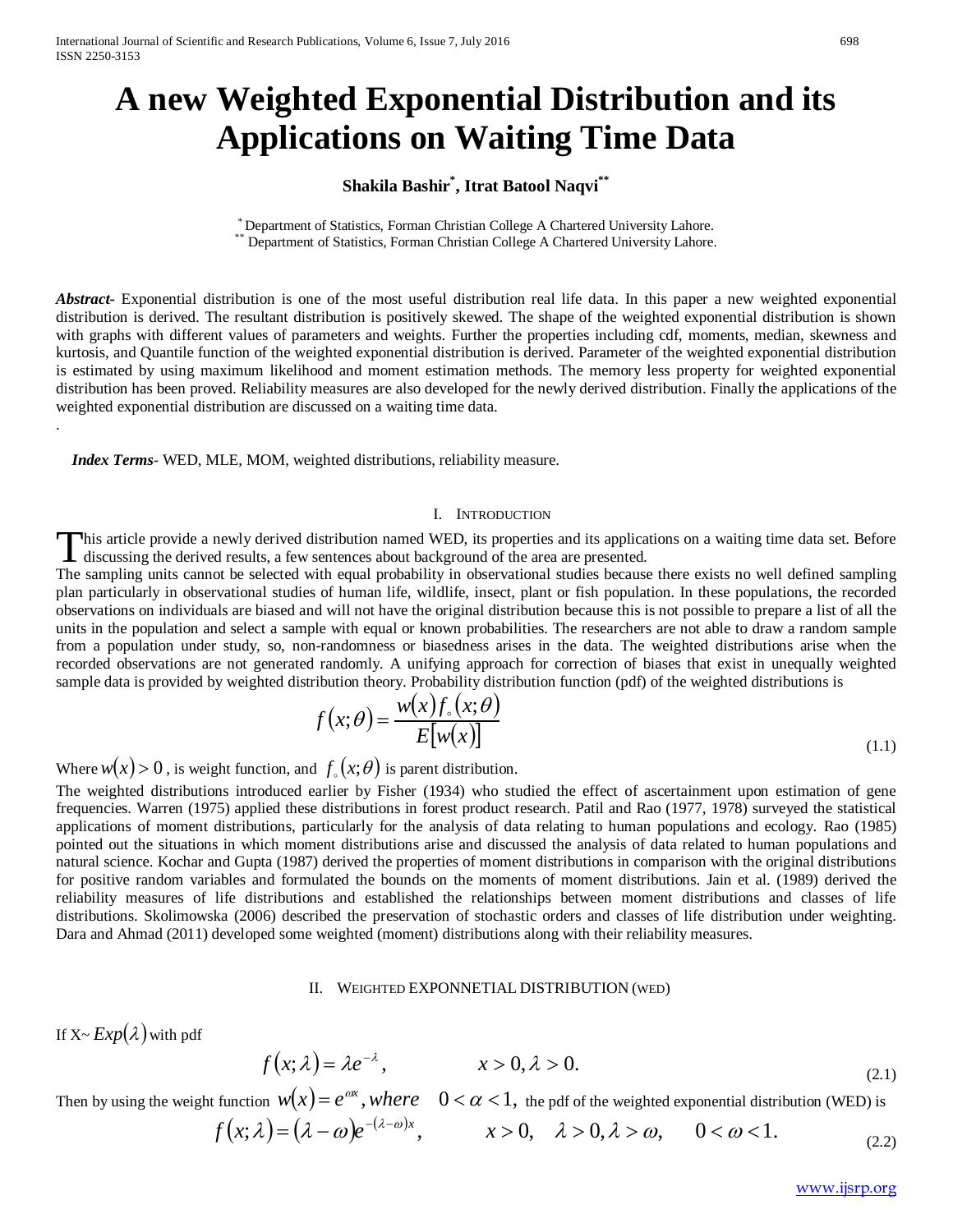# **A new Weighted Exponential Distribution and its Applications on Waiting Time Data**

# **Shakila Bashir\* , Itrat Batool Naqvi\*\***

\* Department of Statistics, Forman Christian College A Chartered University Lahore. \*\* Department of Statistics, Forman Christian College A Chartered University Lahore.

*Abstract***-** Exponential distribution is one of the most useful distribution real life data. In this paper a new weighted exponential distribution is derived. The resultant distribution is positively skewed. The shape of the weighted exponential distribution is shown with graphs with different values of parameters and weights. Further the properties including cdf, moments, median, skewness and kurtosis, and Quantile function of the weighted exponential distribution is derived. Parameter of the weighted exponential distribution is estimated by using maximum likelihood and moment estimation methods. The memory less property for weighted exponential distribution has been proved. Reliability measures are also developed for the newly derived distribution. Finally the applications of the weighted exponential distribution are discussed on a waiting time data.

 *Index Terms*- WED, MLE, MOM, weighted distributions, reliability measure.

### I. INTRODUCTION

his article provide a newly derived distribution named WED, its properties and its applications on a waiting time data set. Before This article provide a newly derived distribution named WED, its properties and its applicated is discussing the derived results, a few sentences about background of the area are presented.

The sampling units cannot be selected with equal probability in observational studies because there exists no well defined sampling plan particularly in observational studies of human life, wildlife, insect, plant or fish population. In these populations, the recorded observations on individuals are biased and will not have the original distribution because this is not possible to prepare a list of all the units in the population and select a sample with equal or known probabilities. The researchers are not able to draw a random sample from a population under study, so, non-randomness or biasedness arises in the data. The weighted distributions arise when the recorded observations are not generated randomly. A unifying approach for correction of biases that exist in unequally weighted sample data is provided by weighted distribution theory. Probability distribution function (pdf) of the weighted distributions is

$$
f(x; \theta) = \frac{w(x) f_{\circ}(x; \theta)}{E[w(x)]}
$$
\n(1.1)

Where  $w(x) > 0$ , is weight function, and  $f(x; \theta)$  is parent distribution.

The weighted distributions introduced earlier by Fisher (1934) who studied the effect of ascertainment upon estimation of gene frequencies. Warren (1975) applied these distributions in forest product research. Patil and Rao (1977, 1978) surveyed the statistical applications of moment distributions, particularly for the analysis of data relating to human populations and ecology. Rao (1985) pointed out the situations in which moment distributions arise and discussed the analysis of data related to human populations and natural science. Kochar and Gupta (1987) derived the properties of moment distributions in comparison with the original distributions for positive random variables and formulated the bounds on the moments of moment distributions. Jain et al. (1989) derived the reliability measures of life distributions and established the relationships between moment distributions and classes of life distributions. Skolimowska (2006) described the preservation of stochastic orders and classes of life distribution under weighting. Dara and Ahmad (2011) developed some weighted (moment) distributions along with their reliability measures.

#### II. WEIGHTED EXPONNETIAL DISTRIBUTION (WED)

If  $X \sim Exp(\lambda)$  with pdf

.

$$
f(x; \lambda) = \lambda e^{-\lambda}, \qquad x > 0, \lambda > 0.
$$
 (2.1)

Then by using the weight function  $w(x) = e^{ax}$ , where  $0 < \alpha < 1$ , the pdf of the weighted exponential distribution (WED) is

$$
f(x;\lambda) = (\lambda - \omega)e^{-(\lambda - \omega)x}, \qquad x > 0, \quad \lambda > 0, \lambda > \omega, \qquad 0 < \omega < 1.
$$
 (2.2)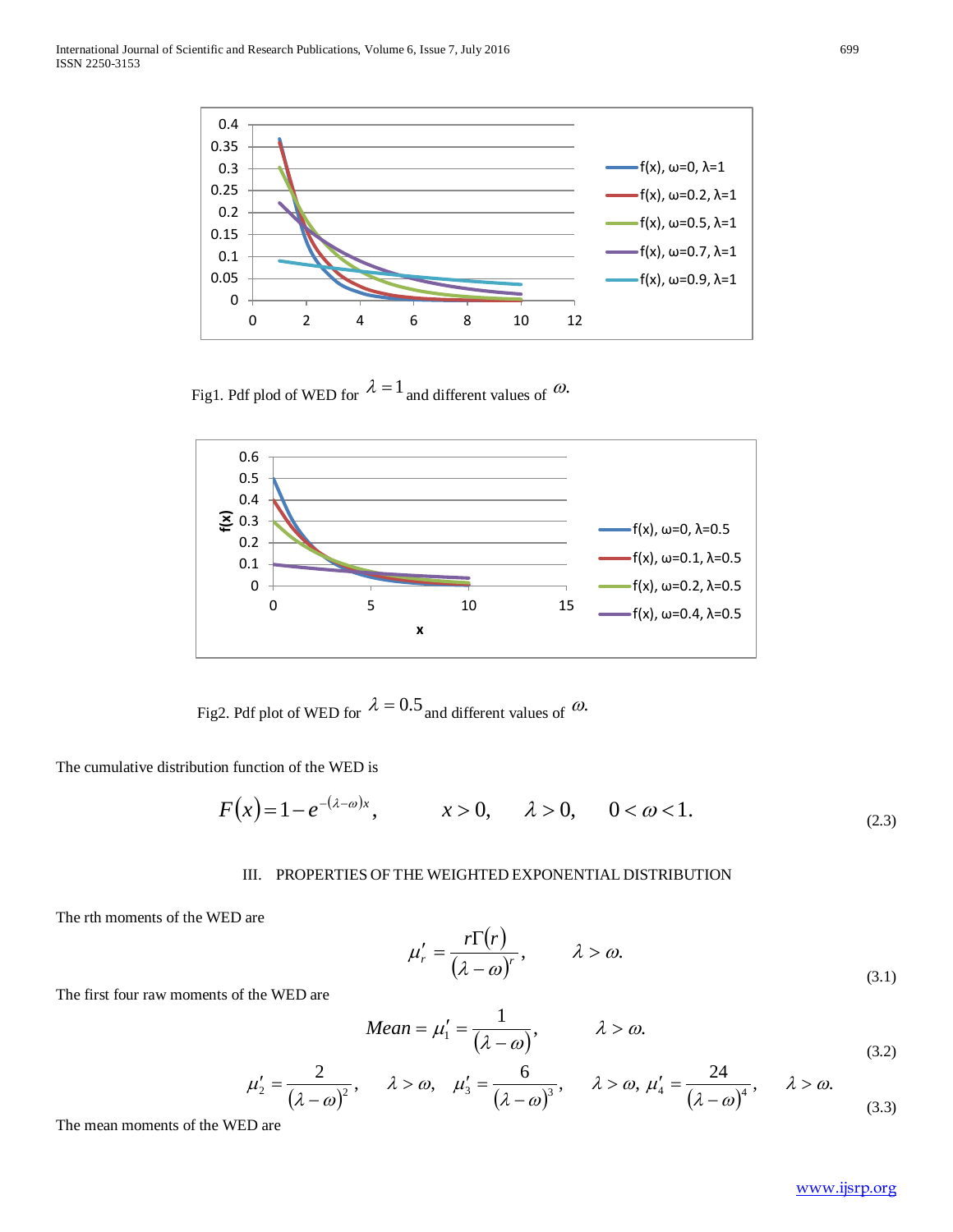

Fig1. Pdf plod of WED for  $\lambda = 1$  and different values of  $\omega$ .



Fig2. Pdf plot of WED for  $\lambda = 0.5$  and different values of  $\omega$ .

The cumulative distribution function of the WED is

$$
F(x) = 1 - e^{-(\lambda - \omega)x}, \qquad x > 0, \qquad \lambda > 0, \qquad 0 < \omega < 1.
$$
 (2.3)

# III. PROPERTIES OF THE WEIGHTED EXPONENTIAL DISTRIBUTION

The rth moments of the WED are

$$
\mu_r' = \frac{r\Gamma(r)}{(\lambda - \omega)^r}, \qquad \lambda > \omega.
$$
\n(3.1)

The first four raw moments of the WED are

$$
Mean = \mu_1' = \frac{1}{(\lambda - \omega)}, \qquad \lambda > \omega.
$$
\n(3.2)

$$
\mu_2' = \frac{2}{(\lambda - \omega)^2}, \quad \lambda > \omega, \quad \mu_3' = \frac{6}{(\lambda - \omega)^3}, \quad \lambda > \omega, \quad \mu_4' = \frac{24}{(\lambda - \omega)^4}, \quad \lambda > \omega.
$$
 (3.3)

The mean moments of the WED are

[www.ijsrp.org](http://ijsrp.org/)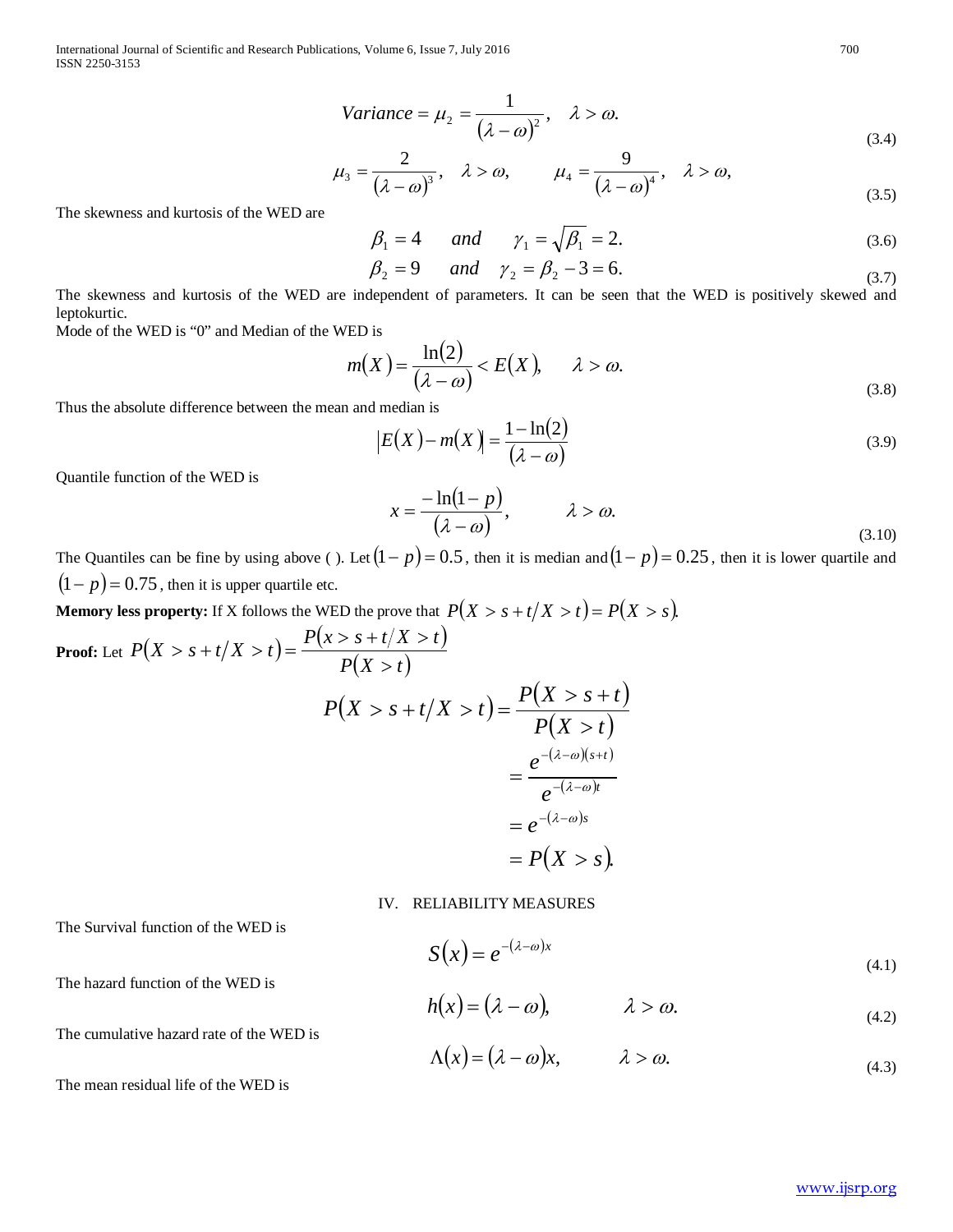International Journal of Scientific and Research Publications, Volume 6, Issue 7, July 2016 700 ISSN 2250-3153

$$
Variance = \mu_2 = \frac{1}{(\lambda - \omega)^2}, \quad \lambda > \omega.
$$
\n(3.4)

$$
\mu_3 = \frac{2}{(\lambda - \omega)^3}, \quad \lambda > \omega, \qquad \mu_4 = \frac{9}{(\lambda - \omega)^4}, \quad \lambda > \omega,
$$
\n(3.5)

The skewness and kurtosis of the WED are

$$
\beta_1 = 4 \qquad and \qquad \gamma_1 = \sqrt{\beta_1} = 2. \tag{3.6}
$$

$$
\beta_2 = 9 \quad \text{and} \quad \gamma_2 = \beta_2 - 3 = 6. \tag{3.7}
$$

The skewness and kurtosis of the WED are independent of parameters. It can be seen that the WED is positively skewed and leptokurtic.

Mode of the WED is "0" and Median of the WED is

$$
m(X) = \frac{\ln(2)}{(\lambda - \omega)} < E(X), \quad \lambda > \omega. \tag{3.8}
$$

 $\sim$   $\sim$ 

Thus the [absolute difference](https://en.wikipedia.org/wiki/Absolute_difference) between the mean and median is

$$
|E(X) - m(X)| = \frac{1 - \ln(2)}{(\lambda - \omega)}
$$
\n(3.9)

Quantile function of the WED is

$$
x = \frac{-\ln(1-p)}{(\lambda - \omega)}, \qquad \lambda > \omega.
$$
\n(3.10)

The Quantiles can be fine by using above ( ). Let $(1-p)=0.5$  , then it is median and  $(1-p)=0.25$  , then it is lower quartile and  $(1-p) = 0.75$ , then it is upper quartile etc.

**Memory less property:** If X follows the WED the prove that  $P(X > s + t / X > t) = P(X > s)$ .

Proof: Let 
$$
P(X > s + t / X > t) = \frac{P(x > s + t / X > t)}{P(X > t)}
$$
  
\n
$$
P(X > s + t / X > t) = \frac{P(X > s + t)}{P(X > t)}
$$
\n
$$
= \frac{e^{-(\lambda - \omega)(s + t)}}{e^{-(\lambda - \omega)t}}
$$
\n
$$
= e^{-(\lambda - \omega)s}
$$
\n
$$
= P(X > s).
$$

## IV. RELIABILITY MEASURES

 $h(x) = (\lambda - \omega), \qquad \lambda > \omega.$ 

The Survival function of the WED is

$$
S(x) = e^{-(\lambda - \omega)x} \tag{4.1}
$$

The hazard function of the WED is

The cumulative hazard rate of the WED is

 $\Lambda(x) = (\lambda - \omega)x, \qquad \lambda > \omega.$ (4.3)

The mean residual life of the WED is

(4.2)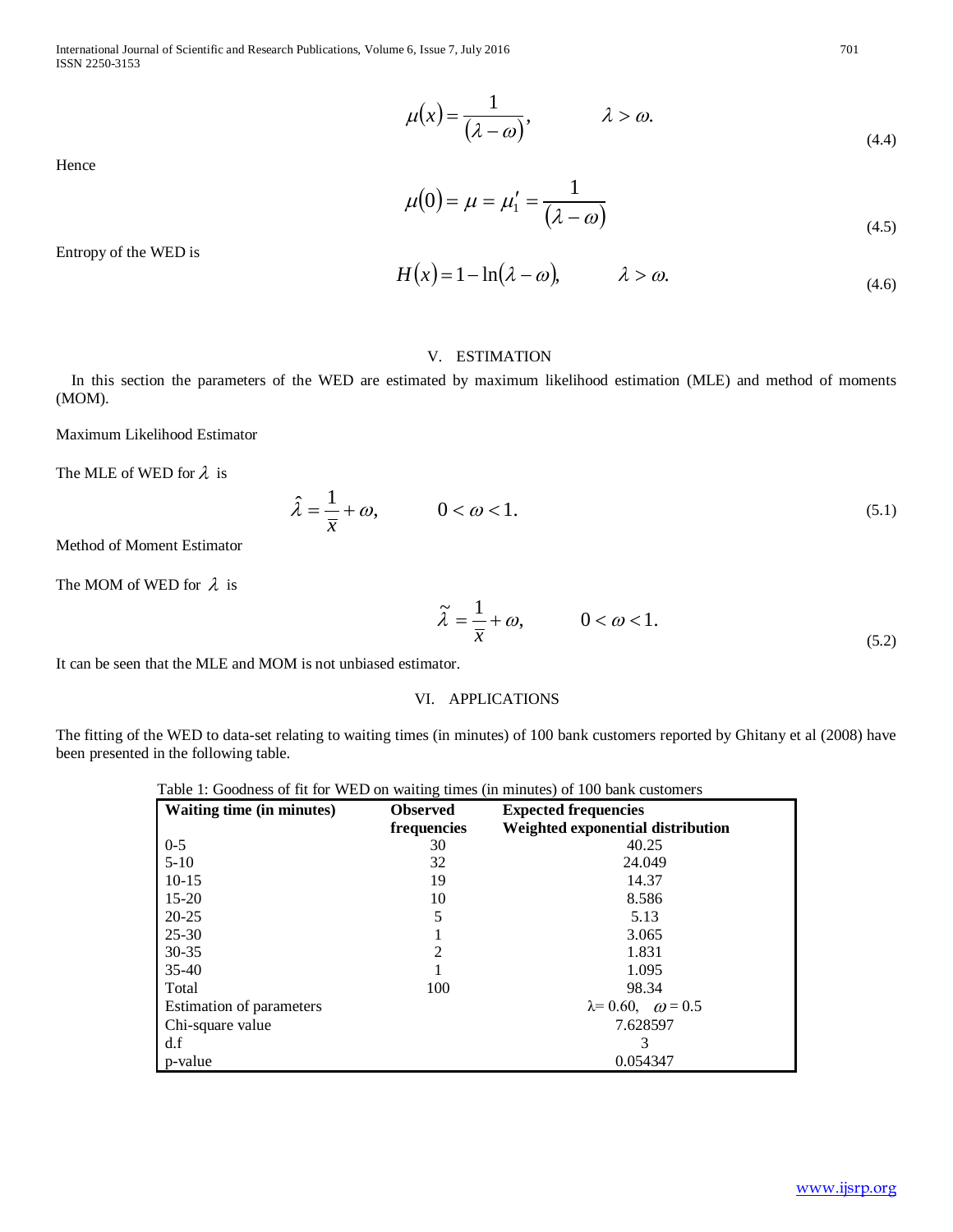International Journal of Scientific and Research Publications, Volume 6, Issue 7, July 2016 701 ISSN 2250-3153

> $\mu(x) = \frac{1}{(\lambda - \omega)}, \qquad \lambda > \omega.$ (4.4)

Hence

$$
\mu(0) = \mu = \mu'_1 = \frac{1}{(\lambda - \omega)}
$$
\n(4.5)

Entropy of the WED is

$$
H(x) = 1 - \ln(\lambda - \omega), \qquad \lambda > \omega.
$$
 (4.6)

#### V. ESTIMATION

 In this section the parameters of the WED are estimated by maximum likelihood estimation (MLE) and method of moments (MOM).

Maximum Likelihood Estimator

The MLE of WED for  $\lambda$  is

$$
\hat{\lambda} = \frac{1}{\overline{x}} + \omega, \qquad 0 < \omega < 1. \tag{5.1}
$$

Method of Moment Estimator

The MOM of WED for  $\lambda$  is

$$
\tilde{\lambda} = \frac{1}{\overline{x}} + \omega, \qquad 0 < \omega < 1.
$$
\n(5.2)

It can be seen that the MLE and MOM is not unbiased estimator.

# VI. APPLICATIONS

The fitting of the WED to data-set relating to waiting times (in minutes) of 100 bank customers reported by Ghitany et al (2008) have been presented in the following table.

| Table 1: Goodness of fit for WED on waiting times (in minutes) of 100 bank customers |  |  |  |  |
|--------------------------------------------------------------------------------------|--|--|--|--|
|--------------------------------------------------------------------------------------|--|--|--|--|

| Waiting time (in minutes) | <b>Observed</b> | <b>Expected frequencies</b>          |  |
|---------------------------|-----------------|--------------------------------------|--|
|                           | frequencies     | Weighted exponential distribution    |  |
| $0 - 5$                   | 30              | 40.25                                |  |
| $5 - 10$                  | 32              | 24.049                               |  |
| $10-15$                   | 19              | 14.37                                |  |
| $15 - 20$                 | 10              | 8.586                                |  |
| $20 - 25$                 | 5               | 5.13                                 |  |
| $25 - 30$                 |                 | 3.065                                |  |
| $30 - 35$                 | $\mathfrak{D}$  | 1.831                                |  |
| $35 - 40$                 |                 | 1.095                                |  |
| Total                     | 100             | 98.34                                |  |
| Estimation of parameters  |                 | $\lambda = 0.60, \quad \omega = 0.5$ |  |
| Chi-square value          |                 | 7.628597                             |  |
| d.f                       |                 | 3                                    |  |
| p-value                   |                 | 0.054347                             |  |